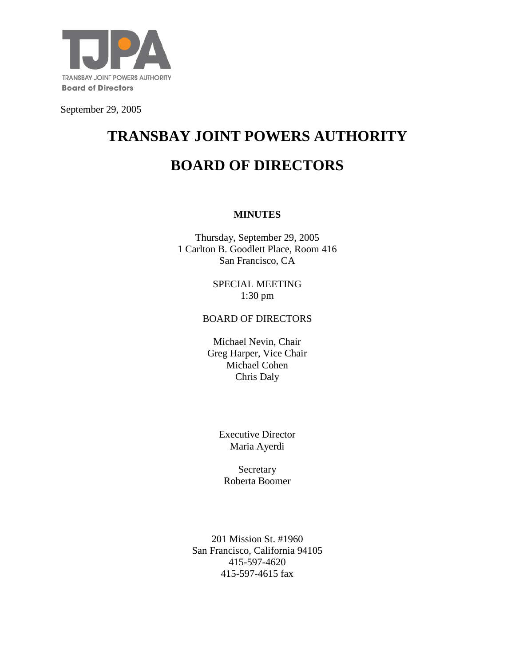

September 29, 2005

# **TRANSBAY JOINT POWERS AUTHORITY BOARD OF DIRECTORS**

### **MINUTES**

Thursday, September 29, 2005 1 Carlton B. Goodlett Place, Room 416 San Francisco, CA

> SPECIAL MEETING 1:30 pm

#### BOARD OF DIRECTORS

Michael Nevin, Chair Greg Harper, Vice Chair Michael Cohen Chris Daly

> Executive Director Maria Ayerdi

Secretary Roberta Boomer

201 Mission St. #1960 San Francisco, California 94105 415-597-4620 415-597-4615 fax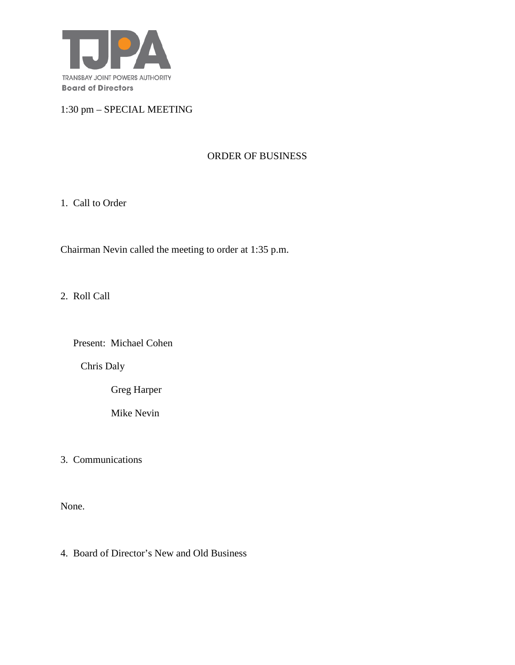

1:30 pm – SPECIAL MEETING

## ORDER OF BUSINESS

1. Call to Order

Chairman Nevin called the meeting to order at 1:35 p.m.

2. Roll Call

Present: Michael Cohen

Chris Daly

Greg Harper

Mike Nevin

3. Communications

None.

4. Board of Director's New and Old Business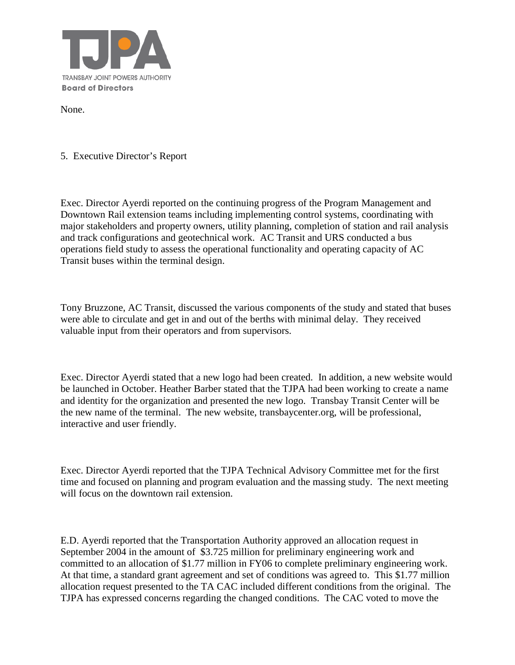

None.

5. Executive Director's Report

Exec. Director Ayerdi reported on the continuing progress of the Program Management and Downtown Rail extension teams including implementing control systems, coordinating with major stakeholders and property owners, utility planning, completion of station and rail analysis and track configurations and geotechnical work. AC Transit and URS conducted a bus operations field study to assess the operational functionality and operating capacity of AC Transit buses within the terminal design.

Tony Bruzzone, AC Transit, discussed the various components of the study and stated that buses were able to circulate and get in and out of the berths with minimal delay. They received valuable input from their operators and from supervisors.

Exec. Director Ayerdi stated that a new logo had been created. In addition, a new website would be launched in October. Heather Barber stated that the TJPA had been working to create a name and identity for the organization and presented the new logo. Transbay Transit Center will be the new name of the terminal. The new website, transbaycenter.org, will be professional, interactive and user friendly.

Exec. Director Ayerdi reported that the TJPA Technical Advisory Committee met for the first time and focused on planning and program evaluation and the massing study. The next meeting will focus on the downtown rail extension.

E.D. Ayerdi reported that the Transportation Authority approved an allocation request in September 2004 in the amount of \$3.725 million for preliminary engineering work and committed to an allocation of \$1.77 million in FY06 to complete preliminary engineering work. At that time, a standard grant agreement and set of conditions was agreed to. This \$1.77 million allocation request presented to the TA CAC included different conditions from the original. The TJPA has expressed concerns regarding the changed conditions. The CAC voted to move the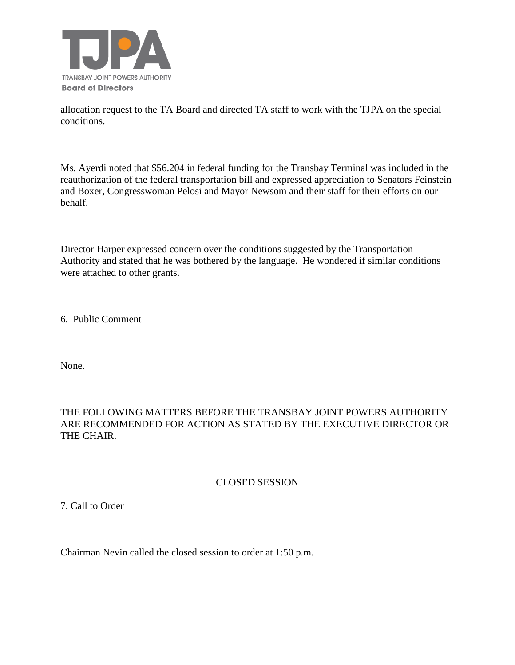

allocation request to the TA Board and directed TA staff to work with the TJPA on the special conditions.

Ms. Ayerdi noted that \$56.204 in federal funding for the Transbay Terminal was included in the reauthorization of the federal transportation bill and expressed appreciation to Senators Feinstein and Boxer, Congresswoman Pelosi and Mayor Newsom and their staff for their efforts on our behalf.

Director Harper expressed concern over the conditions suggested by the Transportation Authority and stated that he was bothered by the language. He wondered if similar conditions were attached to other grants.

6. Public Comment

None.

## THE FOLLOWING MATTERS BEFORE THE TRANSBAY JOINT POWERS AUTHORITY ARE RECOMMENDED FOR ACTION AS STATED BY THE EXECUTIVE DIRECTOR OR THE CHAIR.

## CLOSED SESSION

7. Call to Order

Chairman Nevin called the closed session to order at 1:50 p.m.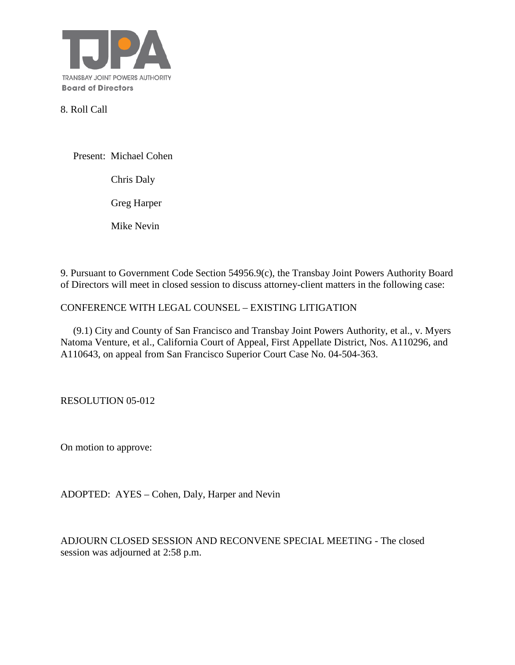

8. Roll Call

Present: Michael Cohen

Chris Daly

Greg Harper

Mike Nevin

9. Pursuant to Government Code Section 54956.9(c), the Transbay Joint Powers Authority Board of Directors will meet in closed session to discuss attorney-client matters in the following case:

### CONFERENCE WITH LEGAL COUNSEL – EXISTING LITIGATION

 (9.1) City and County of San Francisco and Transbay Joint Powers Authority, et al., v. Myers Natoma Venture, et al., California Court of Appeal, First Appellate District, Nos. A110296, and A110643, on appeal from San Francisco Superior Court Case No. 04-504-363.

RESOLUTION 05-012

On motion to approve:

ADOPTED: AYES – Cohen, Daly, Harper and Nevin

ADJOURN CLOSED SESSION AND RECONVENE SPECIAL MEETING - The closed session was adjourned at 2:58 p.m.